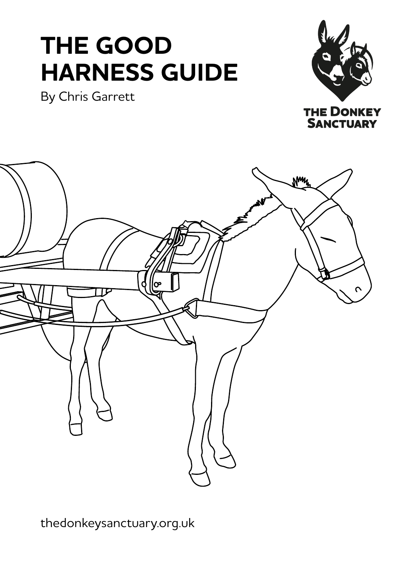# **THE GOOD HARNESS GUIDE**

By Chris Garrett





[thedonkeysanctuary.org.uk](https://www.thedonkeysanctuary.org.uk/)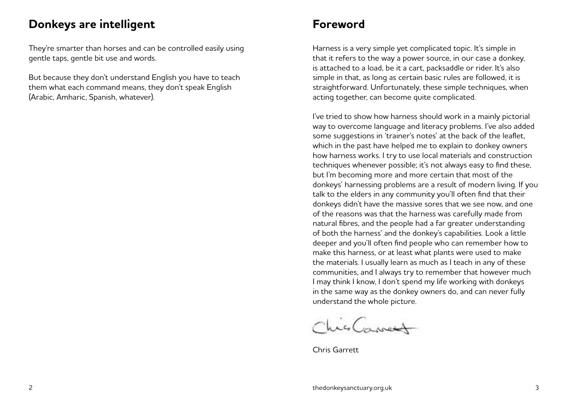#### **Donkeys are intelligent Foreword**

They're smarter than horses and can be controlled easily using gentle taps, gentle bit use and words.

But because they don't understand English you have to teach them what each command means, they don't speak English (Arabic, Amharic, Spanish, whatever).

Harness is a very simple yet complicated topic. It's simple in that it refers to the way a power source, in our case a donkey, is attached to a load, be it a cart, packsaddle or rider. It's also simple in that, as long as certain basic rules are followed, it is straightforward. Unfortunately, these simple techniques, when acting together, can become quite complicated.

I've tried to show how harness should work in a mainly pictorial way to overcome language and literacy problems. I've also added some suggestions in 'trainer's notes' at the back of the leaflet, which in the past have helped me to explain to donkey owners how harness works. I try to use local materials and construction techniques whenever possible; it's not always easy to find these, but I'm becoming more and more certain that most of the donkeys' harnessing problems are a result of modern living. If you talk to the elders in any community you'll often find that their donkeys didn't have the massive sores that we see now, and one of the reasons was that the harness was carefully made from natural fibres, and the people had a far greater understanding of both the harness' and the donkey's capabilities. Look a little deeper and you'll often find people who can remember how to make this harness, or at least what plants were used to make the materials. I usually learn as much as I teach in any of these communities, and I always try to remember that however much I may think I know, I don't spend my life working with donkeys in the same way as the donkey owners do, and can never fully understand the whole picture.

ChisCances

Chris Garrett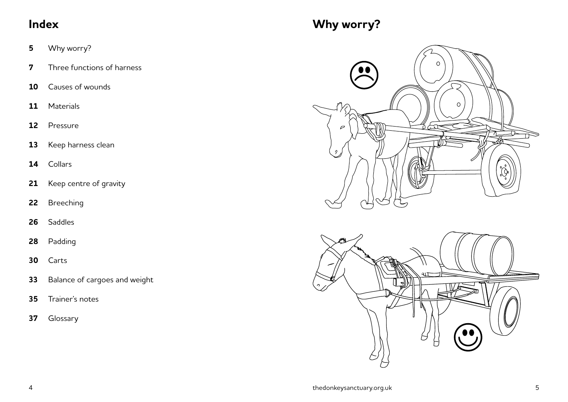- Why worry?
- Three functions of harness
- Causes of wounds
- Materials
- Pressure
- Keep harness clean
- Collars
- Keep centre of gravity
- Breeching
- Saddles
- Padding
- Carts
- Balance of cargoes and weight
- Trainer's notes
- Glossary

## **Index Why worry?**



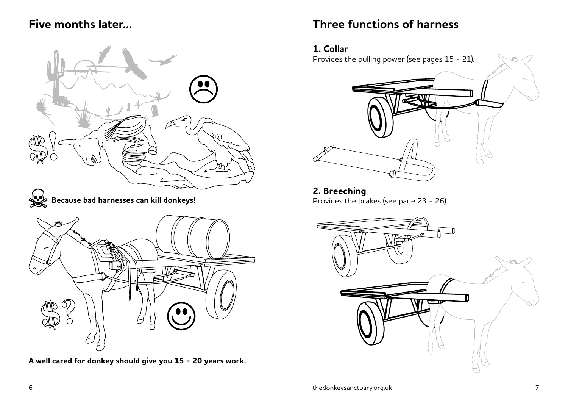#### **Five months later...**



**A well cared for donkey should give you 15 - 20 years work.**

#### **Three functions of harness**

#### **1. Collar**

Provides the pulling power (see pages 15 - 21).



#### **2. Breeching** Provides the brakes (see page 23 - 26).

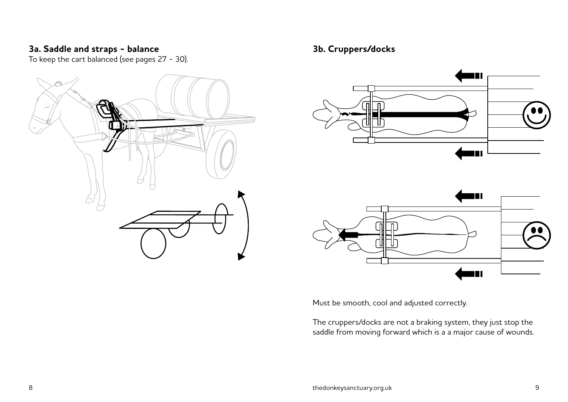#### **3a. Saddle and straps - balance**

To keep the cart balanced (see pages 27 - 30).



#### **3b. Cruppers/docks**





Must be smooth, cool and adjusted correctly.

The cruppers/docks are not a braking system, they just stop the saddle from moving forward which is a a major cause of wounds.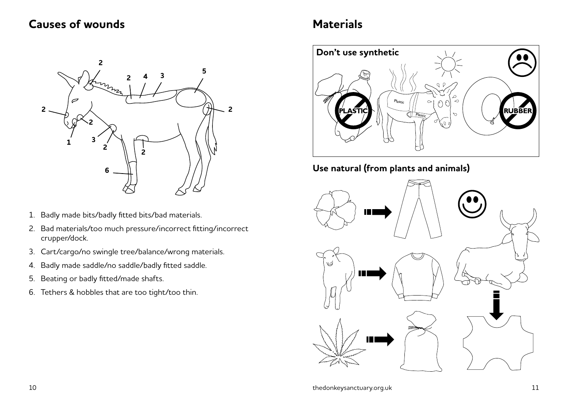#### **Causes of wounds**



- 1. Badly made bits/badly fitted bits/bad materials.
- 2. Bad materials/too much pressure/incorrect fitting/incorrect crupper/dock.
- 3. Cart/cargo/no swingle tree/balance/wrong materials.
- 4. Badly made saddle/no saddle/badly fitted saddle.
- 5. Beating or badly fitted/made shafts.
- 6. Tethers & hobbles that are too tight/too thin.

### **Materials**



#### **Use natural (from plants and animals)**

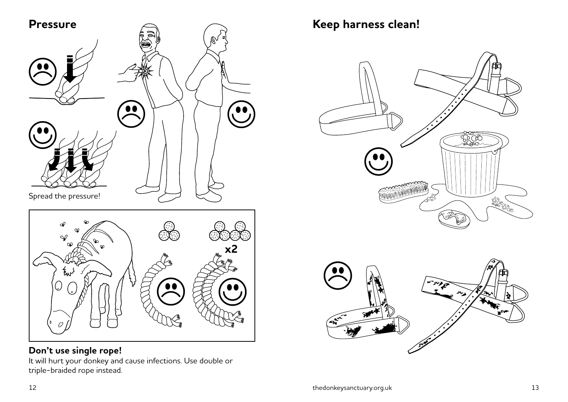

#### **Don't use single rope!**

It will hurt your donkey and cause infections. Use double or triple-braided rope instead.

**Keep harness clean!**



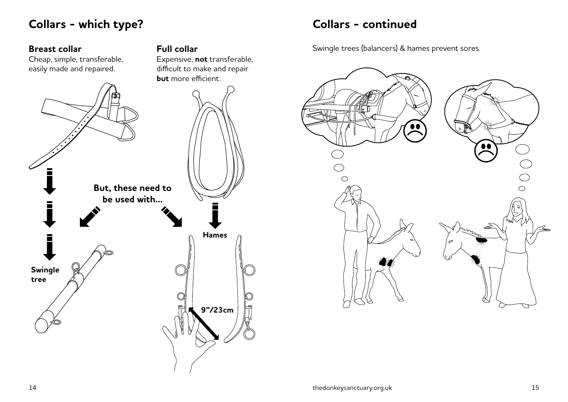### **Collars - which type?**

#### **Breast collar**

Cheap, simple, transferable, easily made and repaired.



**Full collar**

Expensive, **not** transferable,

#### **Collars - continued**

Swingle trees (balancers) & hames prevent sores.

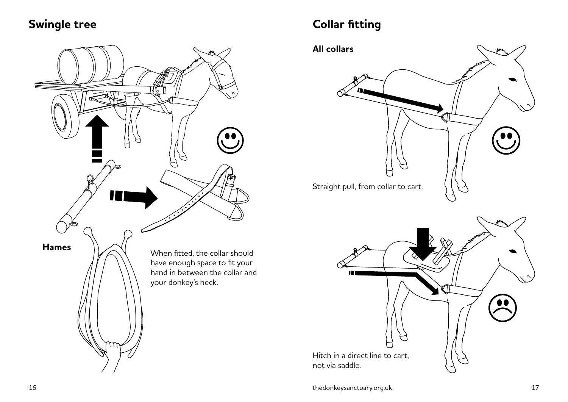#### **Swingle tree**



## **Collar fitting**

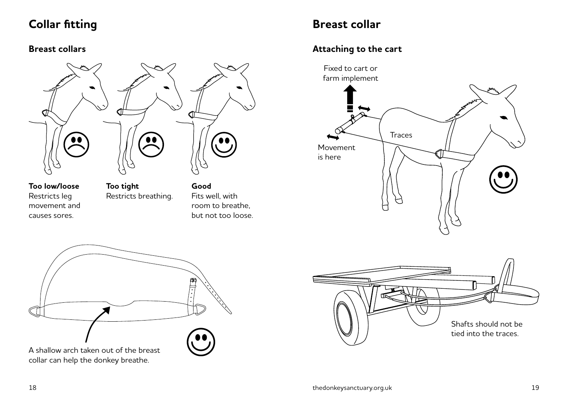## **Collar fitting**

#### **Breast collars**



**Too low/loose** Restricts leg movement and causes sores.

**Too tight** Restricts breathing. **Good** Fits well, with room to breathe, but not too loose.



#### **Attaching to the cart**





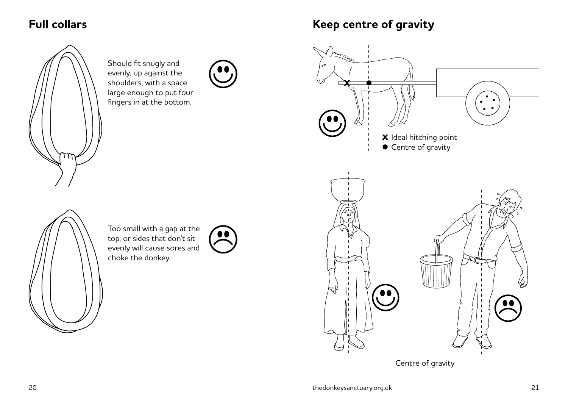#### **Full collars**



Should fit snugly and evenly, up against the shoulders, with a space large enough to put four fingers in at the bottom.



**Keep centre of gravity**





Too small with a gap at the top, or sides that don't sit evenly will cause sores and choke the donkey.

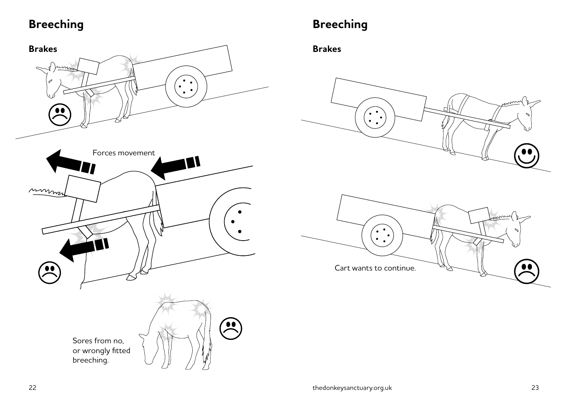## **Breeching**



## **Breeching**

**Brakes**



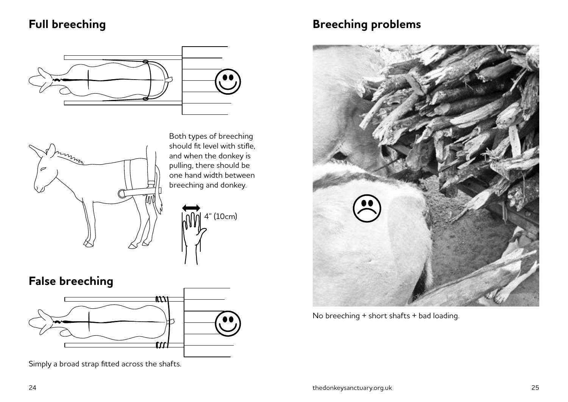### **Full breeching**





4" (10cm)

**False breeching**



Simply a broad strap fitted across the shafts.

### **Breeching problems**



No breeching + short shafts + bad loading.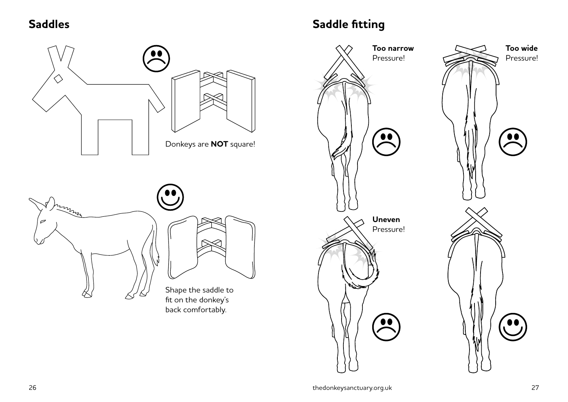#### **Saddles**



## **Saddle fitting**

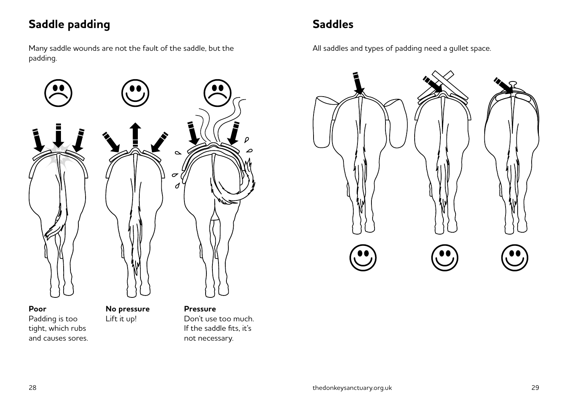## **Saddle padding**

Many saddle wounds are not the fault of the saddle, but the padding.



#### **Poor** Padding is too tight, which rubs and causes sores.

**No pressure** Lift it up!

**Pressure** Don't use too much. If the saddle fits, it's not necessary.

## **Saddles**

All saddles and types of padding need a gullet space.

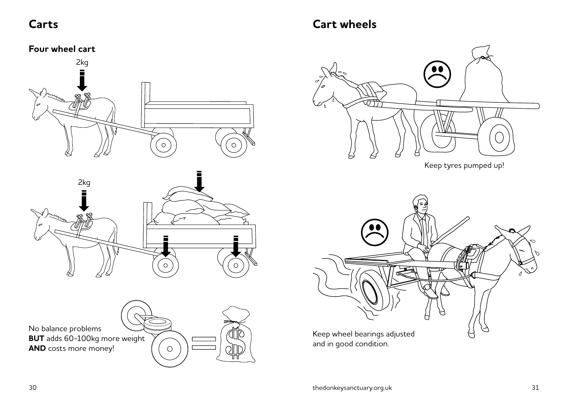#### **Carts**

#### **Cart wheels**

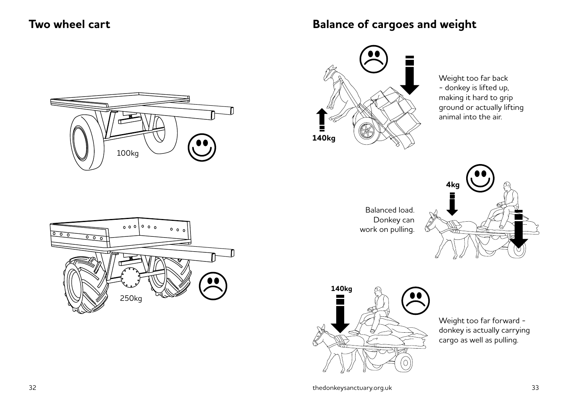#### **Two wheel cart**

#### **Balance of cargoes and weight**





Weight too far back - donkey is lifted up, making it hard to grip ground or actually lifting animal into the air.

Balanced load. Donkey can work on pulling.





Weight too far forward donkey is actually carrying cargo as well as pulling.

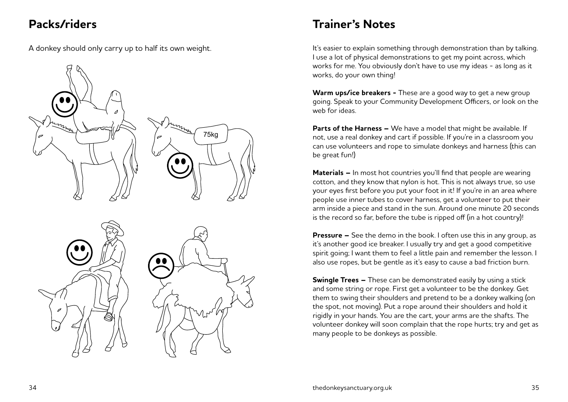#### **Packs/riders**

A donkey should only carry up to half its own weight.







### **Trainer's Notes**

It's easier to explain something through demonstration than by talking. I use a lot of physical demonstrations to get my point across, which works for me. You obviously don't have to use my ideas - as long as it works, do your own thing!

**Warm ups/ice breakers -** These are a good way to get a new group going. Speak to your Community Development Officers, or look on the web for ideas.

**Parts of the Harness –** We have a model that might be available. If not, use a real donkey and cart if possible. If you're in a classroom you can use volunteers and rope to simulate donkeys and harness (this can be great fun!)

**Materials –** In most hot countries you'll find that people are wearing cotton, and they know that nylon is hot. This is not always true, so use your eyes first before you put your foot in it! If you're in an area where people use inner tubes to cover harness, get a volunteer to put their arm inside a piece and stand in the sun. Around one minute 20 seconds is the record so far, before the tube is ripped off (in a hot country)!

**Pressure –** See the demo in the book. I often use this in any group, as it's another good ice breaker. I usually try and get a good competitive spirit going; I want them to feel a little pain and remember the lesson. I also use ropes, but be gentle as it's easy to cause a bad friction burn.

**Swingle Trees –** These can be demonstrated easily by using a stick and some string or rope. First get a volunteer to be the donkey. Get them to swing their shoulders and pretend to be a donkey walking (on the spot, not moving). Put a rope around their shoulders and hold it rigidly in your hands. You are the cart, your arms are the shafts. The volunteer donkey will soon complain that the rope hurts; try and get as many people to be donkeys as possible.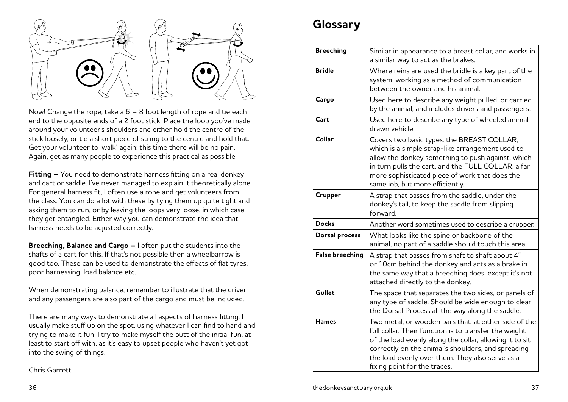

Now! Change the rope, take a 6 – 8 foot length of rope and tie each end to the opposite ends of a 2 foot stick. Place the loop you've made around your volunteer's shoulders and either hold the centre of the stick loosely, or tie a short piece of string to the centre and hold that. Get your volunteer to 'walk' again; this time there will be no pain. Again, get as many people to experience this practical as possible.

**Fitting –** You need to demonstrate harness fitting on a real donkey and cart or saddle. I've never managed to explain it theoretically alone. For general harness fit, I often use a rope and get volunteers from the class. You can do a lot with these by tying them up quite tight and asking them to run, or by leaving the loops very loose, in which case they get entangled. Either way you can demonstrate the idea that harness needs to be adjusted correctly.

**Breeching, Balance and Cargo –** I often put the students into the shafts of a cart for this. If that's not possible then a wheelbarrow is good too. These can be used to demonstrate the effects of flat tyres, poor harnessing, load balance etc.

When demonstrating balance, remember to illustrate that the driver and any passengers are also part of the cargo and must be included.

There are many ways to demonstrate all aspects of harness fitting. I usually make stuff up on the spot, using whatever I can find to hand and trying to make it fun. I try to make myself the butt of the initial fun, at least to start off with, as it's easy to upset people who haven't yet got into the swing of things.

Chris Garrett

## **Glossary**

| <b>Breeching</b>       | Similar in appearance to a breast collar, and works in<br>a similar way to act as the brakes.                                                                                                                                                                                                                      |
|------------------------|--------------------------------------------------------------------------------------------------------------------------------------------------------------------------------------------------------------------------------------------------------------------------------------------------------------------|
| <b>Bridle</b>          | Where reins are used the bridle is a key part of the<br>system, working as a method of communication<br>between the owner and his animal.                                                                                                                                                                          |
| Cargo                  | Used here to describe any weight pulled, or carried<br>by the animal, and includes drivers and passengers.                                                                                                                                                                                                         |
| Cart                   | Used here to describe any type of wheeled animal<br>drawn vehicle.                                                                                                                                                                                                                                                 |
| Collar                 | Covers two basic types: the BREAST COLLAR,<br>which is a simple strap-like arrangement used to<br>allow the donkey something to push against, which<br>in turn pulls the cart, and the FULL COLLAR, a far<br>more sophisticated piece of work that does the<br>same job, but more efficiently.                     |
| Crupper                | A strap that passes from the saddle, under the<br>donkey's tail, to keep the saddle from slipping<br>forward.                                                                                                                                                                                                      |
| <b>Docks</b>           | Another word sometimes used to describe a crupper.                                                                                                                                                                                                                                                                 |
| <b>Dorsal process</b>  | What looks like the spine or backbone of the<br>animal, no part of a saddle should touch this area.                                                                                                                                                                                                                |
| <b>False breeching</b> | A strap that passes from shaft to shaft about 4"<br>or 10cm behind the donkey and acts as a brake in<br>the same way that a breeching does, except it's not<br>attached directly to the donkey.                                                                                                                    |
| Gullet                 | The space that separates the two sides, or panels of<br>any type of saddle. Should be wide enough to clear<br>the Dorsal Process all the way along the saddle.                                                                                                                                                     |
| <b>Hames</b>           | Two metal, or wooden bars that sit either side of the<br>full collar. Their function is to transfer the weight<br>of the load evenly along the collar, allowing it to sit<br>correctly on the animal's shoulders, and spreading<br>the load evenly over them. They also serve as a<br>fixing point for the traces. |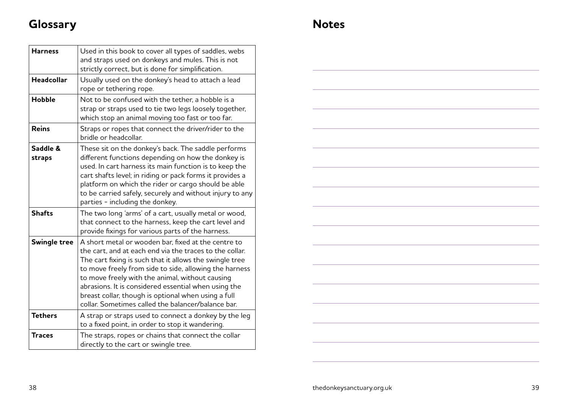## **Glossary**

| <b>Harness</b>     | Used in this book to cover all types of saddles, webs<br>and straps used on donkeys and mules. This is not<br>strictly correct, but is done for simplification.                                                                                                                                                                                                                                                                                             |
|--------------------|-------------------------------------------------------------------------------------------------------------------------------------------------------------------------------------------------------------------------------------------------------------------------------------------------------------------------------------------------------------------------------------------------------------------------------------------------------------|
| <b>Headcollar</b>  | Usually used on the donkey's head to attach a lead<br>rope or tethering rope.                                                                                                                                                                                                                                                                                                                                                                               |
| <b>Hobble</b>      | Not to be confused with the tether, a hobble is a<br>strap or straps used to tie two legs loosely together,<br>which stop an animal moving too fast or too far.                                                                                                                                                                                                                                                                                             |
| <b>Reins</b>       | Straps or ropes that connect the driver/rider to the<br>bridle or headcollar.                                                                                                                                                                                                                                                                                                                                                                               |
| Saddle &<br>straps | These sit on the donkey's back. The saddle performs<br>different functions depending on how the donkey is<br>used. In cart harness its main function is to keep the<br>cart shafts level; in riding or pack forms it provides a<br>platform on which the rider or cargo should be able<br>to be carried safely, securely and without injury to any<br>parties - including the donkey.                                                                       |
| <b>Shafts</b>      | The two long 'arms' of a cart, usually metal or wood,<br>that connect to the harness, keep the cart level and<br>provide fixings for various parts of the harness.                                                                                                                                                                                                                                                                                          |
| Swingle tree       | A short metal or wooden bar, fixed at the centre to<br>the cart, and at each end via the traces to the collar.<br>The cart fixing is such that it allows the swingle tree<br>to move freely from side to side, allowing the harness<br>to move freely with the animal, without causing<br>abrasions. It is considered essential when using the<br>breast collar, though is optional when using a full<br>collar. Sometimes called the balancer/balance bar. |
| <b>Tethers</b>     | A strap or straps used to connect a donkey by the leg<br>to a fixed point, in order to stop it wandering.                                                                                                                                                                                                                                                                                                                                                   |
| <b>Traces</b>      | The straps, ropes or chains that connect the collar<br>directly to the cart or swingle tree.                                                                                                                                                                                                                                                                                                                                                                |